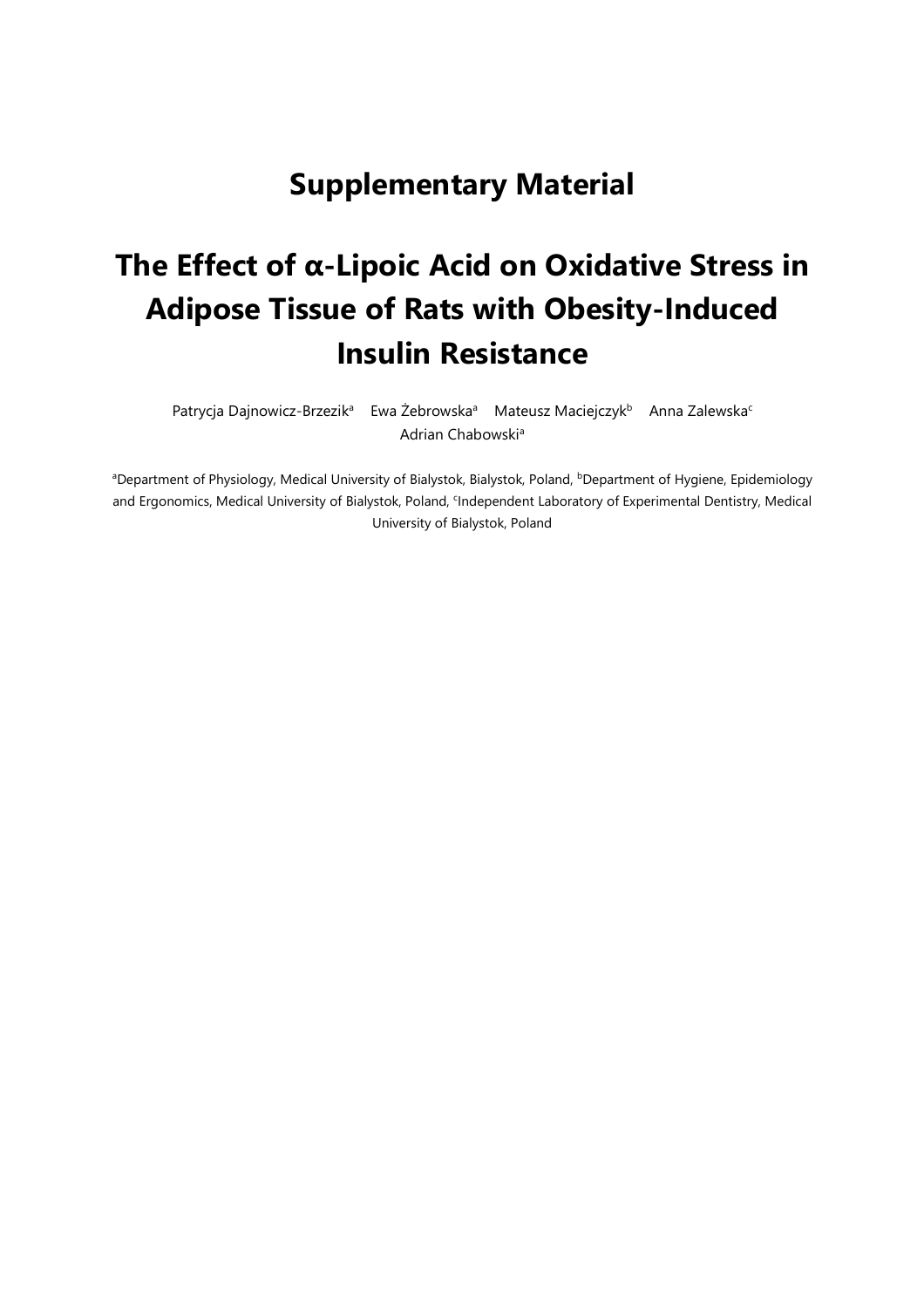## **Supplementary Material**

## **The Effect of α-Lipoic Acid on Oxidative Stress in Adipose Tissue of Rats with Obesity-Induced Insulin Resistance**

Patrycja Dajnowicz-Brzezik<sup>a</sup> Ewa Żebrowska<sup>a</sup> Mateusz Maciejczyk<sup>b</sup> Anna Zalewska<sup>c</sup> Adrian Chabowski<sup>a</sup>

<sup>a</sup>Department of Physiology, Medical University of Bialystok, Bialystok, Poland, <sup>b</sup>Department of Hygiene, Epidemiology and Ergonomics, Medical University of Bialystok, Poland, <sup>c</sup>Independent Laboratory of Experimental Dentistry, Medical University of Bialystok, Poland